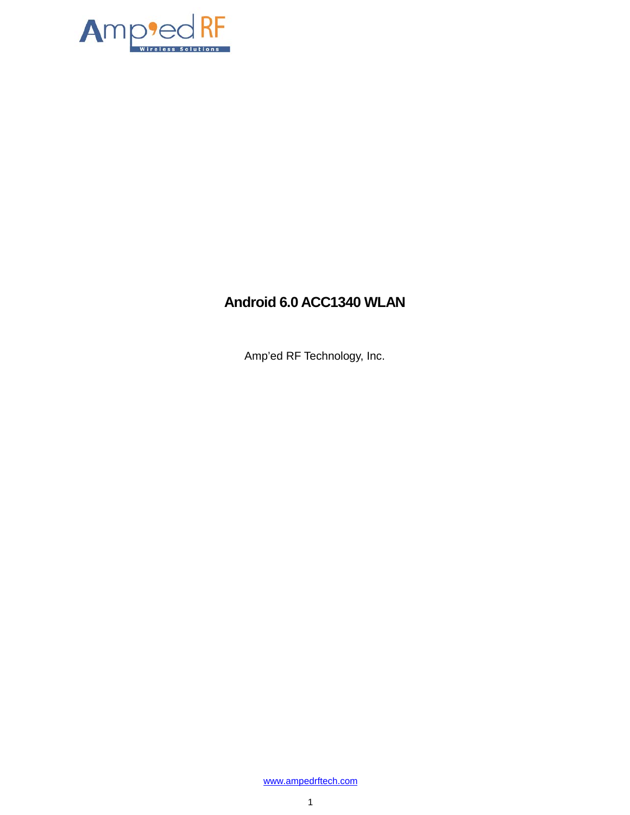

## **Android 6.0 ACC1340 WLAN**

Amp'ed RF Technology, Inc.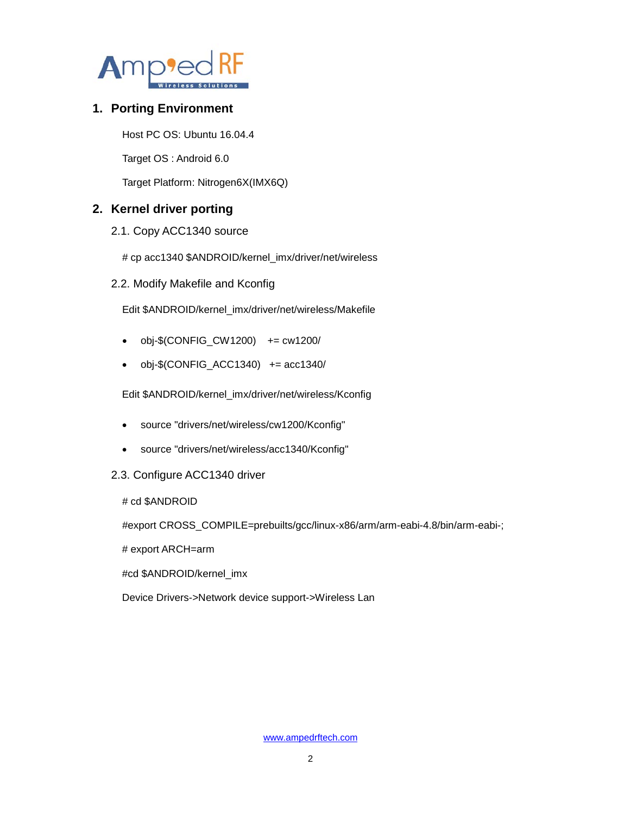

## **1. Porting Environment**

Host PC OS: Ubuntu 16.04.4

Target OS : Android 6.0

Target Platform: Nitrogen6X(IMX6Q)

## **2. Kernel driver porting**

- 2.1. Copy ACC1340 source
	- # cp acc1340 \$ANDROID/kernel\_imx/driver/net/wireless
- 2.2. Modify Makefile and Kconfig

Edit \$ANDROID/kernel\_imx/driver/net/wireless/Makefile

- $\bullet$  obj-\$(CONFIG\_CW1200) += cw1200/
- $\bullet$  obj-\$(CONFIG\_ACC1340) += acc1340/

Edit \$ANDROID/kernel\_imx/driver/net/wireless/Kconfig

- source "drivers/net/wireless/cw1200/Kconfig"
- source "drivers/net/wireless/acc1340/Kconfig"
- 2.3. Configure ACC1340 driver

# cd \$ANDROID

#export CROSS\_COMPILE=prebuilts/gcc/linux-x86/arm/arm-eabi-4.8/bin/arm-eabi-;

# export ARCH=arm

#cd \$ANDROID/kernel\_imx

Device Drivers->Network device support->Wireless Lan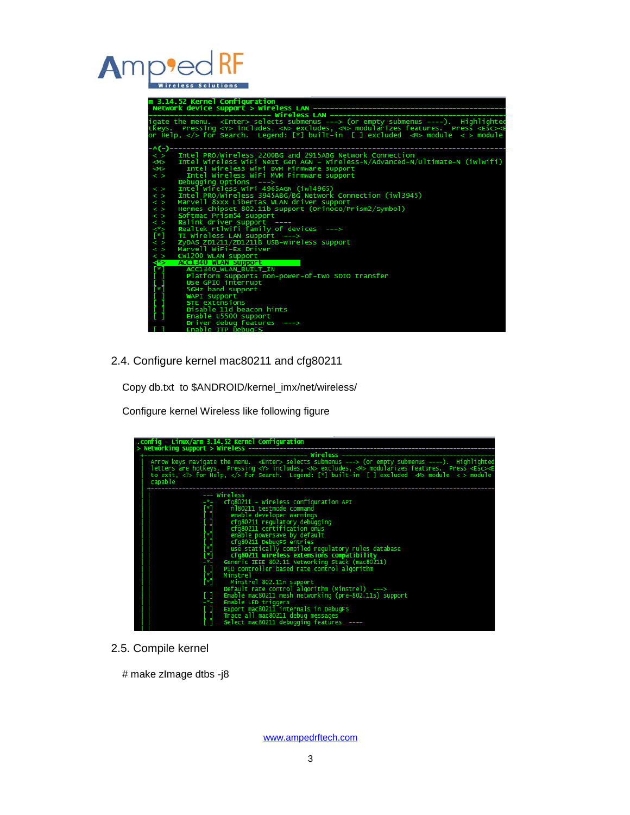# Amp

|                         | m 3.14.52 Kernel Configuration                                                                                                                                                                                                                                           |
|-------------------------|--------------------------------------------------------------------------------------------------------------------------------------------------------------------------------------------------------------------------------------------------------------------------|
|                         |                                                                                                                                                                                                                                                                          |
|                         |                                                                                                                                                                                                                                                                          |
|                         | igate the menu. <enter> selects submenus ---&gt; (or empty submenus ----). Highlighte<br/>tkeys. Pressing <y> includes, <n> excludes, <m> modularizes features. Press <esc<br>&gt;&lt; or Help,  for Search. Legend: [*] built-in [ ] exclu</esc<br></m></n></y></enter> |
|                         |                                                                                                                                                                                                                                                                          |
|                         |                                                                                                                                                                                                                                                                          |
|                         |                                                                                                                                                                                                                                                                          |
| -^(-)-                  |                                                                                                                                                                                                                                                                          |
|                         | $\langle \rangle$ Intel PRO/Wireless 2200BG and 2915ABG Network Connection                                                                                                                                                                                               |
| M ><br>M>               | Intel wireless wifi Next Gen AGN - wireless-N/Advanced-N/Ultimate-N (iwlwifi)                                                                                                                                                                                            |
| $\langle \rangle$       | Intel Wireless WiFi DVM Firmware support<br>Intel Wireless WiFi MVM Firmware support                                                                                                                                                                                     |
|                         | Debugging Options $---\$                                                                                                                                                                                                                                                 |
| $\langle \rangle$       | Intel Wireless WiFi 4965AGN (iw14965)                                                                                                                                                                                                                                    |
| $\langle$ $\rangle$     | Intel PRO/Wireless 3945ABG/BG Network Connection (iw13945)                                                                                                                                                                                                               |
| $\langle$ $\rangle$     | Marvell 8xxx Libertas WLAN driver support                                                                                                                                                                                                                                |
| $\langle$ >             | Hermes chipset 802.11b support (Orinoco/Prism2/Symbol)                                                                                                                                                                                                                   |
| $\langle \rangle$       | Softmac Prism54 support                                                                                                                                                                                                                                                  |
| $\langle$ $\rangle$     | Ralink driver support                                                                                                                                                                                                                                                    |
| $\lt^*$                 | Realtek rtlwifi family of devices --->                                                                                                                                                                                                                                   |
| $[\cdot]$               | TI Wireless LAN support $---\rangle$                                                                                                                                                                                                                                     |
| $\langle$ $\rangle$     | ZyDAS ZD1211/ZD1211B USB-wireless support                                                                                                                                                                                                                                |
| $\langle$ $\rangle$     | Marvell WiFi-Ex Driver                                                                                                                                                                                                                                                   |
| $\leq$ $>$              | CW1200 WLAN support                                                                                                                                                                                                                                                      |
| $\leq$ <sup>8</sup> $>$ | <b>ACC1340 WLAN support</b>                                                                                                                                                                                                                                              |
|                         | ACC1340_WLAN_BUILT_IN                                                                                                                                                                                                                                                    |
|                         | Platform supports non-power-of-two SDIO transfer                                                                                                                                                                                                                         |
|                         | Use GPIO interrupt                                                                                                                                                                                                                                                       |
|                         | 5GHz band support                                                                                                                                                                                                                                                        |
|                         | WAPI support                                                                                                                                                                                                                                                             |
|                         | STE extensions                                                                                                                                                                                                                                                           |
|                         | Disable 11d beacon hints                                                                                                                                                                                                                                                 |
|                         | Enable U5500 support<br>Driver debug features $--->$                                                                                                                                                                                                                     |
|                         | Enable ITP DebugFS                                                                                                                                                                                                                                                       |
|                         |                                                                                                                                                                                                                                                                          |

2.4. Configure kernel mac80211 and cfg80211

Copy db.txt to \$ANDROID/kernel\_imx/net/wireless/

Configure kernel Wireless like following figure

|                                                            | .config - Linux/arm 3.14.52 Kernel Configuration                                                                                                                                                                                            |  |  |  |  |  |
|------------------------------------------------------------|---------------------------------------------------------------------------------------------------------------------------------------------------------------------------------------------------------------------------------------------|--|--|--|--|--|
| > Networking support > Wireless -------------------------- |                                                                                                                                                                                                                                             |  |  |  |  |  |
|                                                            |                                                                                                                                                                                                                                             |  |  |  |  |  |
|                                                            | Arrow keys navigate the menu. <enter> selects submenus ---&gt; (or empty submenus ----). Highlighted</enter>                                                                                                                                |  |  |  |  |  |
|                                                            | letters áre hotkeys.  Pressing <y> includes, <n> excludes, <m> modularizes features. Press <es⊂><e:<br>to exit, <? > for Help,  for Search.  Legend: [*] built-in  [ ] excluded  <m> module  &lt; &gt; module</m></e:<br></es⊂></m></n></y> |  |  |  |  |  |
|                                                            |                                                                                                                                                                                                                                             |  |  |  |  |  |
|                                                            | capable                                                                                                                                                                                                                                     |  |  |  |  |  |
|                                                            |                                                                                                                                                                                                                                             |  |  |  |  |  |
|                                                            | --- Wireless                                                                                                                                                                                                                                |  |  |  |  |  |
|                                                            | $-$ *- $cf$ q80211 - wireless configuration API                                                                                                                                                                                             |  |  |  |  |  |
|                                                            |                                                                                                                                                                                                                                             |  |  |  |  |  |
|                                                            | enable developer warnings                                                                                                                                                                                                                   |  |  |  |  |  |
|                                                            | cfg80211 regulatory debugging                                                                                                                                                                                                               |  |  |  |  |  |
|                                                            | cfq80211 certification onus                                                                                                                                                                                                                 |  |  |  |  |  |
|                                                            | enable powersave by default                                                                                                                                                                                                                 |  |  |  |  |  |
|                                                            | cfg80211 DebugFS entries                                                                                                                                                                                                                    |  |  |  |  |  |
|                                                            | use statically compiled regulatory rules database                                                                                                                                                                                           |  |  |  |  |  |
|                                                            | ין נשטרים אין ני<br>ייני אי אין ני<br>cfg80211 wireless extensions compatibility<br>Generic IEEE 802.11 Networking Stack (mac80211)                                                                                                         |  |  |  |  |  |
|                                                            | PID controller based rate control algorithm                                                                                                                                                                                                 |  |  |  |  |  |
|                                                            | Minstrel                                                                                                                                                                                                                                    |  |  |  |  |  |
|                                                            | $\begin{bmatrix} \ast & \ast \\ \ast & \ast \end{bmatrix}$<br>Minstrel 802.11n support                                                                                                                                                      |  |  |  |  |  |
|                                                            | Default rate control algorithm (Minstrel) $--->$                                                                                                                                                                                            |  |  |  |  |  |
|                                                            | E I<br>Enable mac80211 mesh networking (pre-802.11s) support                                                                                                                                                                                |  |  |  |  |  |
|                                                            | $ \mathbf{x}$ $-$<br>Enable LED triggers                                                                                                                                                                                                    |  |  |  |  |  |
|                                                            | Export mac80211 internals in DebugFS                                                                                                                                                                                                        |  |  |  |  |  |
|                                                            | Trace all mac80211 debug messages                                                                                                                                                                                                           |  |  |  |  |  |
|                                                            | Select mac80211 debugging features ----                                                                                                                                                                                                     |  |  |  |  |  |
|                                                            |                                                                                                                                                                                                                                             |  |  |  |  |  |

2.5. Compile kernel

# make zImage dtbs -j8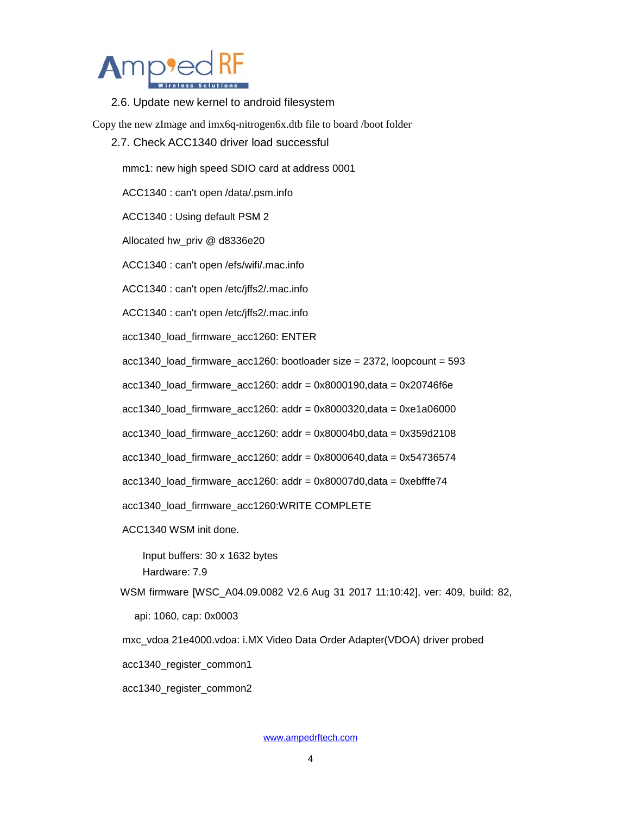

2.6. Update new kernel to android filesystem

Copy the new zImage and imx6q-nitrogen6x.dtb file to board /boot folder

2.7. Check ACC1340 driver load successful

mmc1: new high speed SDIO card at address 0001

ACC1340 : can't open /data/.psm.info

ACC1340 : Using default PSM 2

Allocated hw\_priv @ d8336e20

ACC1340 : can't open /efs/wifi/.mac.info

ACC1340 : can't open /etc/jffs2/.mac.info

ACC1340 : can't open /etc/jffs2/.mac.info

acc1340\_load\_firmware\_acc1260: ENTER

acc1340\_load\_firmware\_acc1260: bootloader size = 2372, loopcount = 593

acc1340\_load\_firmware\_acc1260: addr = 0x8000190,data = 0x20746f6e

acc1340\_load\_firmware\_acc1260: addr = 0x8000320,data = 0xe1a06000

acc1340\_load\_firmware\_acc1260: addr = 0x80004b0,data = 0x359d2108

acc1340\_load\_firmware\_acc1260: addr = 0x8000640,data = 0x54736574

acc1340\_load\_firmware\_acc1260: addr = 0x80007d0,data = 0xebfffe74

acc1340\_load\_firmware\_acc1260:WRITE COMPLETE

ACC1340 WSM init done.

 Input buffers: 30 x 1632 bytes Hardware: 7.9

WSM firmware [WSC\_A04.09.0082 V2.6 Aug 31 2017 11:10:42], ver: 409, build: 82,

api: 1060, cap: 0x0003

mxc\_vdoa 21e4000.vdoa: i.MX Video Data Order Adapter(VDOA) driver probed

acc1340\_register\_common1

acc1340\_register\_common2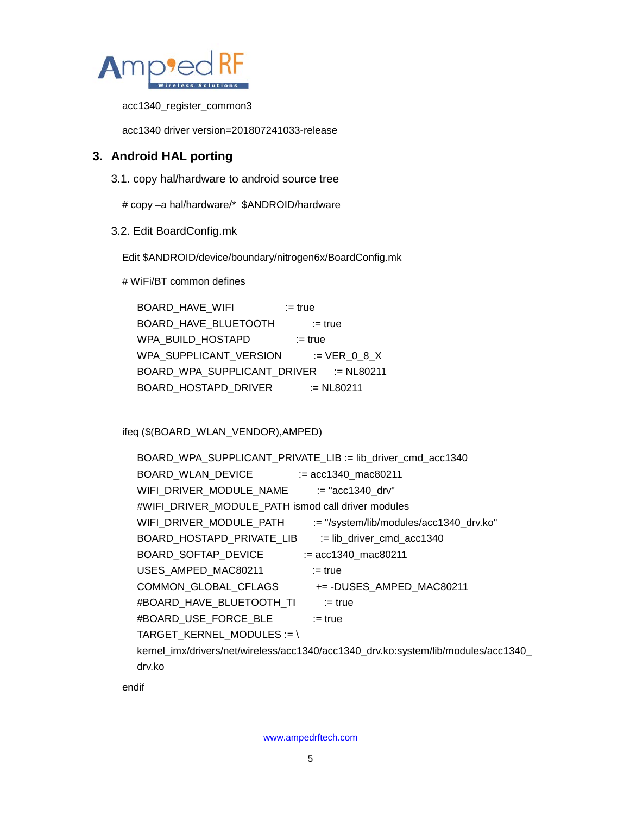

acc1340\_register\_common3

acc1340 driver version=201807241033-release

## **3. Android HAL porting**

3.1. copy hal/hardware to android source tree

# copy –a hal/hardware/\* \$ANDROID/hardware

3.2. Edit BoardConfig.mk

Edit \$ANDROID/device/boundary/nitrogen6x/BoardConfig.mk

# WiFi/BT common defines

BOARD\_HAVE\_WIFI := true BOARD\_HAVE\_BLUETOOTH := true WPA\_BUILD\_HOSTAPD := true WPA\_SUPPLICANT\_VERSION := VER\_0\_8\_X BOARD\_WPA\_SUPPLICANT\_DRIVER := NL80211 BOARD\_HOSTAPD\_DRIVER := NL80211

ifeq (\$(BOARD\_WLAN\_VENDOR),AMPED)

| BOARD_WPA_SUPPLICANT_PRIVATE_LIB := lib_driver_cmd_acc1340                         |  |  |  |  |  |  |
|------------------------------------------------------------------------------------|--|--|--|--|--|--|
|                                                                                    |  |  |  |  |  |  |
| WIFI_DRIVER_MODULE_NAME<br>$:=$ "acc1340 drv"                                      |  |  |  |  |  |  |
| #WIFI_DRIVER_MODULE_PATH ismod call driver modules                                 |  |  |  |  |  |  |
| WIFI_DRIVER_MODULE_PATH<br>:= "/system/lib/modules/acc1340_drv.ko"                 |  |  |  |  |  |  |
| BOARD HOSTAPD PRIVATE LIB<br>$:=$ lib driver cmd acc1340                           |  |  |  |  |  |  |
| BOARD SOFTAP DEVICE<br>$:=$ acc1340 mac80211                                       |  |  |  |  |  |  |
| USES AMPED MAC80211<br>$:=$ true                                                   |  |  |  |  |  |  |
| COMMON GLOBAL CFLAGS<br>+= -DUSES AMPED MAC80211                                   |  |  |  |  |  |  |
| #BOARD HAVE BLUETOOTH TI<br>$:=$ true                                              |  |  |  |  |  |  |
| #BOARD USE FORCE BLE<br>$:=$ true                                                  |  |  |  |  |  |  |
| TARGET_KERNEL_MODULES := \                                                         |  |  |  |  |  |  |
| /kernel_imx/drivers/net/wireless/acc1340/acc1340_drv.ko:system/lib/modules/acc1340 |  |  |  |  |  |  |
| drv.ko                                                                             |  |  |  |  |  |  |

endif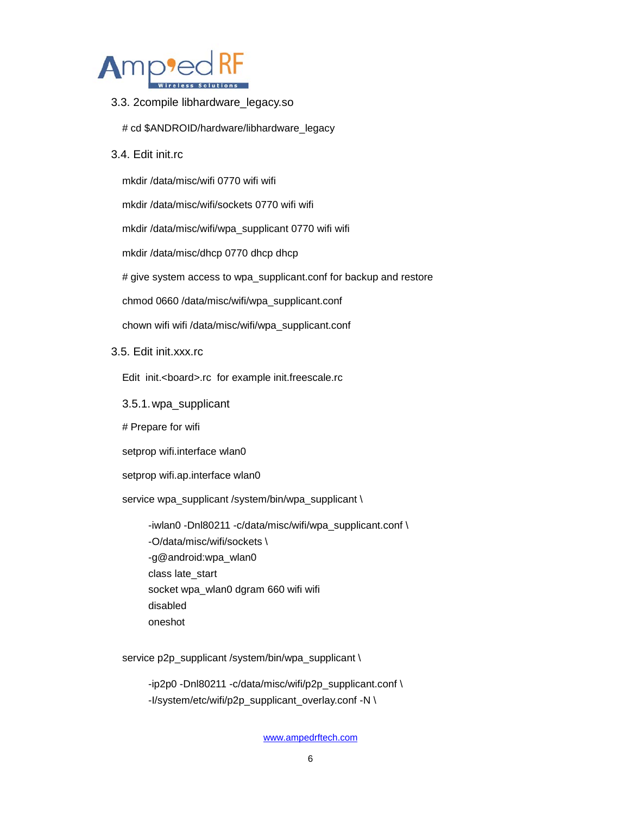

- 3.3. 2compile libhardware\_legacy.so
	- # cd \$ANDROID/hardware/libhardware\_legacy
- 3.4. Edit init.rc

mkdir /data/misc/wifi 0770 wifi wifi

mkdir /data/misc/wifi/sockets 0770 wifi wifi

mkdir /data/misc/wifi/wpa\_supplicant 0770 wifi wifi

mkdir /data/misc/dhcp 0770 dhcp dhcp

# give system access to wpa\_supplicant.conf for backup and restore

chmod 0660 /data/misc/wifi/wpa\_supplicant.conf

chown wifi wifi /data/misc/wifi/wpa\_supplicant.conf

3.5. Edit init.xxx.rc

Edit init.<board>.rc for example init.freescale.rc

3.5.1.wpa\_supplicant

# Prepare for wifi

setprop wifi.interface wlan0

setprop wifi.ap.interface wlan0

service wpa\_supplicant /system/bin/wpa\_supplicant \

 -iwlan0 -Dnl80211 -c/data/misc/wifi/wpa\_supplicant.conf \ -O/data/misc/wifi/sockets \ -g@android:wpa\_wlan0 class late\_start socket wpa\_wlan0 dgram 660 wifi wifi disabled oneshot

service p2p\_supplicant /system/bin/wpa\_supplicant \

 -ip2p0 -Dnl80211 -c/data/misc/wifi/p2p\_supplicant.conf \ -I/system/etc/wifi/p2p\_supplicant\_overlay.conf -N \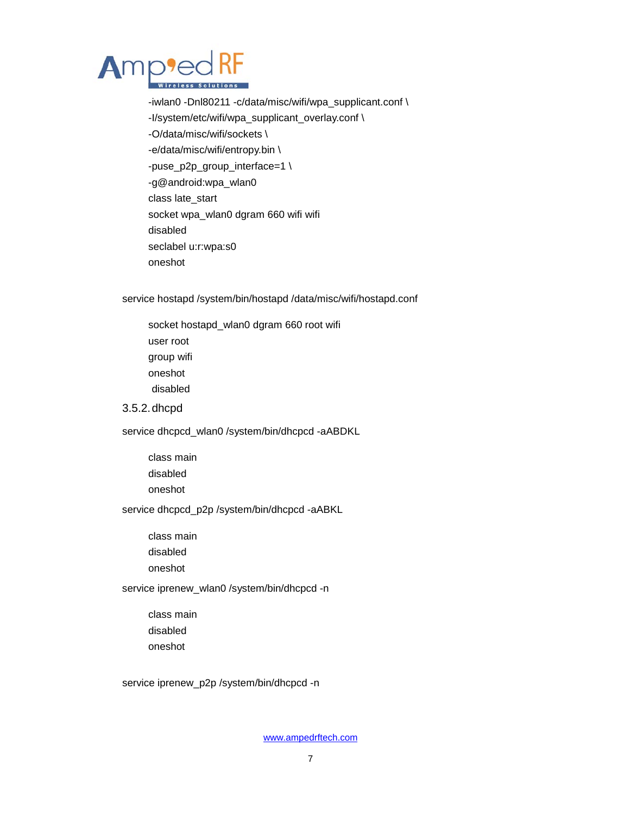

 -iwlan0 -Dnl80211 -c/data/misc/wifi/wpa\_supplicant.conf \ -I/system/etc/wifi/wpa\_supplicant\_overlay.conf \ -O/data/misc/wifi/sockets \ -e/data/misc/wifi/entropy.bin \ -puse\_p2p\_group\_interface=1 \ -g@android:wpa\_wlan0 class late\_start socket wpa\_wlan0 dgram 660 wifi wifi disabled seclabel u:r:wpa:s0 oneshot

service hostapd /system/bin/hostapd /data/misc/wifi/hostapd.conf

 socket hostapd\_wlan0 dgram 660 root wifi user root group wifi oneshot disabled

#### 3.5.2.dhcpd

service dhcpcd\_wlan0 /system/bin/dhcpcd -aABDKL

 class main disabled oneshot

service dhcpcd\_p2p /system/bin/dhcpcd -aABKL

 class main disabled

oneshot

#### service iprenew\_wlan0 /system/bin/dhcpcd -n

 class main disabled oneshot

service iprenew\_p2p /system/bin/dhcpcd -n